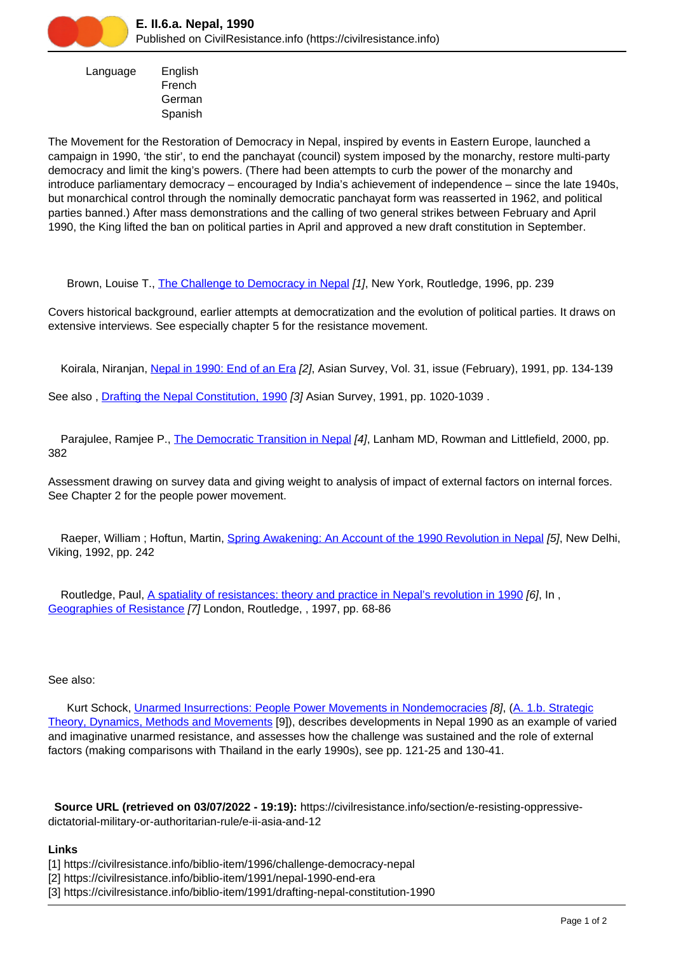

 Language English French German Spanish

The Movement for the Restoration of Democracy in Nepal, inspired by events in Eastern Europe, launched a campaign in 1990, 'the stir', to end the panchayat (council) system imposed by the monarchy, restore multi-party democracy and limit the king's powers. (There had been attempts to curb the power of the monarchy and introduce parliamentary democracy – encouraged by India's achievement of independence – since the late 1940s, but monarchical control through the nominally democratic panchayat form was reasserted in 1962, and political parties banned.) After mass demonstrations and the calling of two general strikes between February and April 1990, the King lifted the ban on political parties in April and approved a new draft constitution in September.

Brown, Louise T., [The Challenge to Democracy in Nepal](https://civilresistance.info/biblio-item/1996/challenge-democracy-nepal) [1], New York, Routledge, 1996, pp. 239

Covers historical background, earlier attempts at democratization and the evolution of political parties. It draws on extensive interviews. See especially chapter 5 for the resistance movement.

Koirala, Niranjan, [Nepal in 1990: End of an Era](https://civilresistance.info/biblio-item/1991/nepal-1990-end-era) [2], Asian Survey, Vol. 31, issue (February), 1991, pp. 134-139

See also , [Drafting the Nepal Constitution, 1990](https://civilresistance.info/biblio-item/1991/drafting-nepal-constitution-1990) [3] Asian Survey, 1991, pp. 1020-1039 .

Parajulee, Ramjee P., *[The Democratic Transition in Nepal](https://civilresistance.info/biblio-item/2000/democratic-transition-nepal) [4]*, Lanham MD, Rowman and Littlefield, 2000, pp. 382

Assessment drawing on survey data and giving weight to analysis of impact of external factors on internal forces. See Chapter 2 for the people power movement.

Raeper, William ; Hoftun, Martin, [Spring Awakening: An Account of the 1990 Revolution in Nepal](https://civilresistance.info/biblio-item/1992/spring-awakening-account-1990-revolution-nepal) [5], New Delhi, Viking, 1992, pp. 242

Routledge, Paul, [A spatiality of resistances: theory and practice in Nepal's revolution in 1990](https://civilresistance.info/biblio-item/1997/spatiality-resistances-theory-and-practice-nepals-revolution-1990) [6], In, [Geographies of Resistance](https://civilresistance.info/biblio-item/1997/geographies-resistance) [7] London, Routledge, , 1997, pp. 68-86

## See also:

 Kurt Schock, [Unarmed Insurrections: People Power Movements in Nondemocracies](https://civilresistance.info/biblio-item/2005/unarmed-insurrections-people-power-movements-nondemocracies) [8], (A. 1.b. Strategic Theory, Dynamics, Methods and Movements [9]), describes developments in Nepal 1990 as an example of varied and imaginative unarmed resistance, and assesses how the challenge was sustained and the role of external factors (making comparisons with Thailand in the early 1990s), see pp. 121-25 and 130-41.

 **Source URL (retrieved on 03/07/2022 - 19:19):** https://civilresistance.info/section/e-resisting-oppressivedictatorial-military-or-authoritarian-rule/e-ii-asia-and-12

## **Links**

- [1] https://civilresistance.info/biblio-item/1996/challenge-democracy-nepal
- [2] https://civilresistance.info/biblio-item/1991/nepal-1990-end-era
- [3] https://civilresistance.info/biblio-item/1991/drafting-nepal-constitution-1990